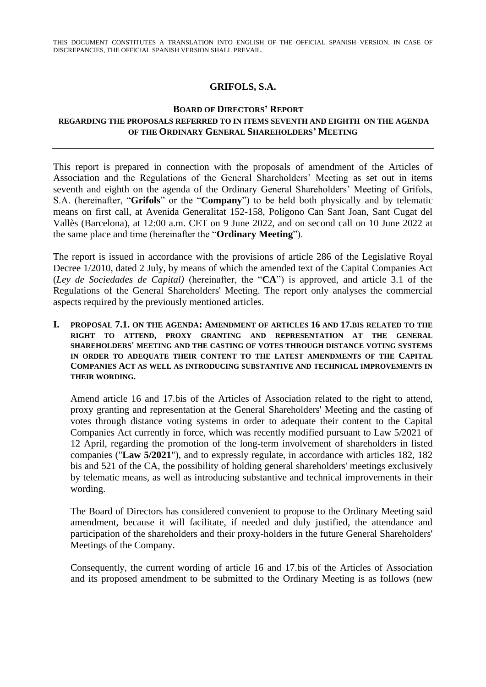THIS DOCUMENT CONSTITUTES A TRANSLATION INTO ENGLISH OF THE OFFICIAL SPANISH VERSION. IN CASE OF DISCREPANCIES, THE OFFICIAL SPANISH VERSION SHALL PREVAIL.

## **GRIFOLS, S.A.**

#### **BOARD OF DIRECTORS' REPORT REGARDING THE PROPOSALS REFERRED TO IN ITEMS SEVENTH AND EIGHTH ON THE AGENDA OF THE ORDINARY GENERAL SHAREHOLDERS' MEETING**

This report is prepared in connection with the proposals of amendment of the Articles of Association and the Regulations of the General Shareholders' Meeting as set out in items seventh and eighth on the agenda of the Ordinary General Shareholders' Meeting of Grifols, S.A. (hereinafter, "**Grifols**" or the "**Company**") to be held both physically and by telematic means on first call, at Avenida Generalitat 152-158, Polígono Can Sant Joan, Sant Cugat del Vallès (Barcelona), at 12:00 a.m. CET on 9 June 2022, and on second call on 10 June 2022 at the same place and time (hereinafter the "**Ordinary Meeting**").

The report is issued in accordance with the provisions of article 286 of the Legislative Royal Decree 1/2010, dated 2 July, by means of which the amended text of the Capital Companies Act (*Ley de Sociedades de Capital)* (hereinafter, the "**CA**") is approved, and article 3.1 of the Regulations of the General Shareholders' Meeting. The report only analyses the commercial aspects required by the previously mentioned articles.

**I. PROPOSAL 7.1. ON THE AGENDA: AMENDMENT OF ARTICLES 16 AND 17.BIS RELATED TO THE RIGHT TO ATTEND, PROXY GRANTING AND REPRESENTATION AT THE GENERAL SHAREHOLDERS' MEETING AND THE CASTING OF VOTES THROUGH DISTANCE VOTING SYSTEMS IN ORDER TO ADEQUATE THEIR CONTENT TO THE LATEST AMENDMENTS OF THE CAPITAL COMPANIES ACT AS WELL AS INTRODUCING SUBSTANTIVE AND TECHNICAL IMPROVEMENTS IN THEIR WORDING.**

Amend article 16 and 17.bis of the Articles of Association related to the right to attend, proxy granting and representation at the General Shareholders' Meeting and the casting of votes through distance voting systems in order to adequate their content to the Capital Companies Act currently in force, which was recently modified pursuant to Law 5/2021 of 12 April, regarding the promotion of the long-term involvement of shareholders in listed companies ("**Law 5/2021**"), and to expressly regulate, in accordance with articles 182, 182 bis and 521 of the CA, the possibility of holding general shareholders' meetings exclusively by telematic means, as well as introducing substantive and technical improvements in their wording.

The Board of Directors has considered convenient to propose to the Ordinary Meeting said amendment, because it will facilitate, if needed and duly justified, the attendance and participation of the shareholders and their proxy-holders in the future General Shareholders' Meetings of the Company.

Consequently, the current wording of article 16 and 17.bis of the Articles of Association and its proposed amendment to be submitted to the Ordinary Meeting is as follows (new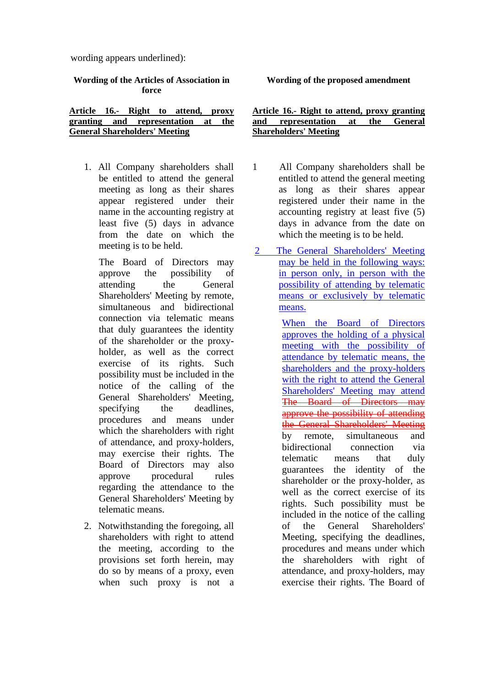wording appears underlined):

#### **Wording of the Articles of Association in force**

#### **Article 16.- Right to attend, proxy granting and representation at the General Shareholders' Meeting**

1. All Company shareholders shall be entitled to attend the general meeting as long as their shares appear registered under their name in the accounting registry at least five (5) days in advance from the date on which the meeting is to be held.

The Board of Directors may approve the possibility of attending the General Shareholders' Meeting by remote, simultaneous and bidirectional connection via telematic means that duly guarantees the identity of the shareholder or the proxyholder, as well as the correct exercise of its rights. Such possibility must be included in the notice of the calling of the General Shareholders' Meeting, specifying the deadlines, procedures and means under which the shareholders with right of attendance, and proxy-holders, may exercise their rights. The Board of Directors may also approve procedural rules regarding the attendance to the General Shareholders' Meeting by telematic means.

2. Notwithstanding the foregoing, all shareholders with right to attend the meeting, according to the provisions set forth herein, may do so by means of a proxy, even when such proxy is not a **Wording of the proposed amendment**

#### **Article 16.- Right to attend, proxy granting and representation at the General Shareholders' Meeting**

- 1 All Company shareholders shall be entitled to attend the general meeting as long as their shares appear registered under their name in the accounting registry at least five (5) days in advance from the date on which the meeting is to be held.
- 2 The General Shareholders' Meeting may be held in the following ways: in person only, in person with the possibility of attending by telematic means or exclusively by telematic means.

When the Board of Directors approves the holding of a physical meeting with the possibility of attendance by telematic means, the shareholders and the proxy-holders with the right to attend the General Shareholders' Meeting may attend The Board of Directors may approve the possibility of attending the General Shareholders' Meeting by remote, simultaneous and bidirectional connection via telematic means that duly guarantees the identity of the shareholder or the proxy-holder, as well as the correct exercise of its rights. Such possibility must be included in the notice of the calling of the General Shareholders' Meeting, specifying the deadlines, procedures and means under which the shareholders with right of attendance, and proxy-holders, may exercise their rights. The Board of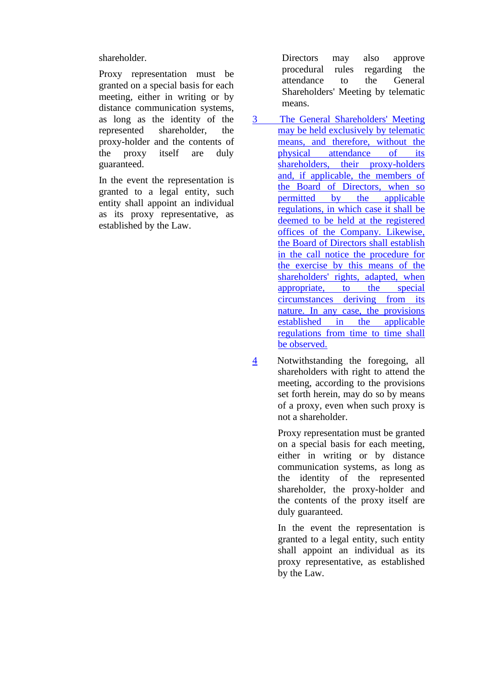shareholder.

Proxy representation must be granted on a special basis for each meeting, either in writing or by distance communication systems, as long as the identity of the represented shareholder, the proxy-holder and the contents of the proxy itself are duly guaranteed.

In the event the representation is granted to a legal entity, such entity shall appoint an individual as its proxy representative, as established by the Law.

Directors may also approve procedural rules regarding the attendance to the General Shareholders' Meeting by telematic means.

- 3 The General Shareholders' Meeting may be held exclusively by telematic means, and therefore, without the physical attendance of its shareholders, their proxy-holders and, if applicable, the members of the Board of Directors, when so permitted by the applicable regulations, in which case it shall be deemed to be held at the registered offices of the Company. Likewise, the Board of Directors shall establish in the call notice the procedure for the exercise by this means of the shareholders' rights, adapted, when appropriate, to the special circumstances deriving from its nature. In any case, the provisions established in the applicable regulations from time to time shall be observed.
- 4 Notwithstanding the foregoing, all shareholders with right to attend the meeting, according to the provisions set forth herein, may do so by means of a proxy, even when such proxy is not a shareholder.

Proxy representation must be granted on a special basis for each meeting, either in writing or by distance communication systems, as long as the identity of the represented shareholder, the proxy-holder and the contents of the proxy itself are duly guaranteed.

In the event the representation is granted to a legal entity, such entity shall appoint an individual as its proxy representative, as established by the Law.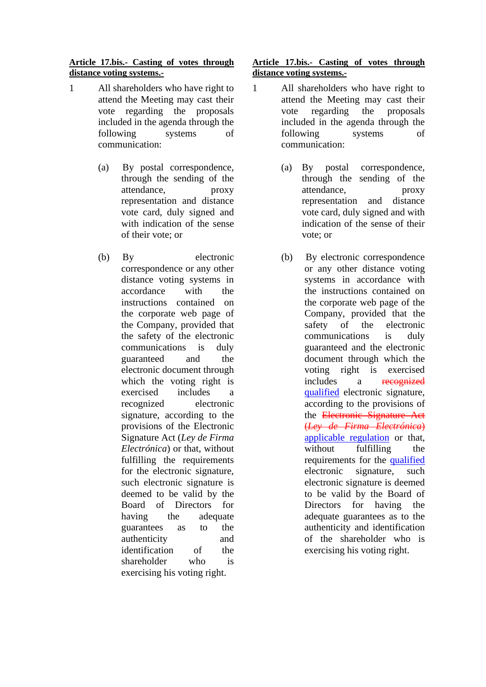# **Article 17.bis.- Casting of votes through distance voting systems.-**

- 1 All shareholders who have right to attend the Meeting may cast their vote regarding the proposals included in the agenda through the following systems of communication:
	- (a) By postal correspondence, through the sending of the attendance, proxy representation and distance vote card, duly signed and with indication of the sense of their vote; or
	- (b) By electronic correspondence or any other distance voting systems in accordance with the instructions contained on the corporate web page of the Company, provided that the safety of the electronic communications is duly guaranteed and the electronic document through which the voting right is exercised includes a recognized electronic signature, according to the provisions of the Electronic Signature Act (*Ley de Firma Electrónica*) or that, without fulfilling the requirements for the electronic signature, such electronic signature is deemed to be valid by the Board of Directors for having the adequate guarantees as to the authenticity and identification of the shareholder who is exercising his voting right.

# **Article 17.bis.- Casting of votes through distance voting systems.-**

- 1 All shareholders who have right to attend the Meeting may cast their vote regarding the proposals included in the agenda through the following systems of communication:
	- (a) By postal correspondence, through the sending of the attendance, proxy representation and distance vote card, duly signed and with indication of the sense of their vote; or
	- (b) By electronic correspondence or any other distance voting systems in accordance with the instructions contained on the corporate web page of the Company, provided that the safety of the electronic communications is duly guaranteed and the electronic document through which the voting right is exercised includes a recognized qualified electronic signature, according to the provisions of the Electronic Signature Act (*Ley de Firma Electrónica*) applicable regulation or that, without fulfilling the requirements for the qualified electronic signature, such electronic signature is deemed to be valid by the Board of Directors for having the adequate guarantees as to the authenticity and identification of the shareholder who is exercising his voting right.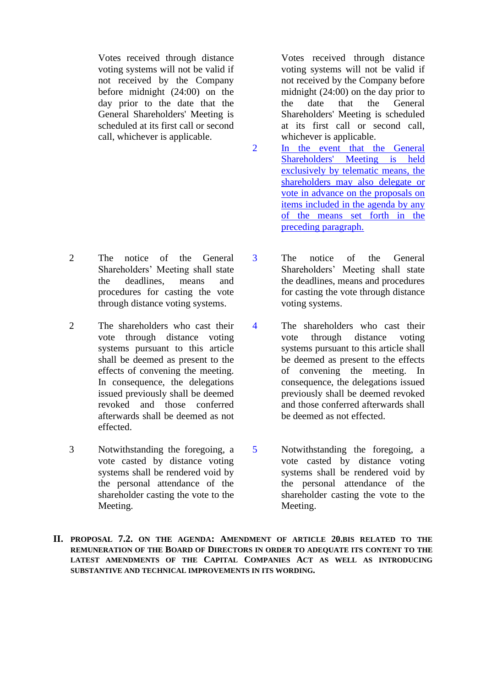Votes received through distance voting systems will not be valid if not received by the Company before midnight (24:00) on the day prior to the date that the General Shareholders' Meeting is scheduled at its first call or second call, whichever is applicable.

- 2 The notice of the General Shareholders' Meeting shall state the deadlines, means and procedures for casting the vote through distance voting systems.
- 2 The shareholders who cast their vote through distance voting systems pursuant to this article shall be deemed as present to the effects of convening the meeting. In consequence, the delegations issued previously shall be deemed revoked and those conferred afterwards shall be deemed as not effected.
- 3 Notwithstanding the foregoing, a vote casted by distance voting systems shall be rendered void by the personal attendance of the shareholder casting the vote to the Meeting.

Votes received through distance voting systems will not be valid if not received by the Company before midnight (24:00) on the day prior to the date that the General Shareholders' Meeting is scheduled at its first call or second call, whichever is applicable.

- 2 In the event that the General Shareholders' Meeting is held exclusively by telematic means, the shareholders may also delegate or vote in advance on the proposals on items included in the agenda by any of the means set forth in the preceding paragraph.
- 3 The notice of the General Shareholders' Meeting shall state the deadlines, means and procedures for casting the vote through distance voting systems.
- 4 The shareholders who cast their vote through distance voting systems pursuant to this article shall be deemed as present to the effects of convening the meeting. In consequence, the delegations issued previously shall be deemed revoked and those conferred afterwards shall be deemed as not effected.
- 5 Notwithstanding the foregoing, a vote casted by distance voting systems shall be rendered void by the personal attendance of the shareholder casting the vote to the Meeting.
- **II. PROPOSAL 7.2. ON THE AGENDA: AMENDMENT OF ARTICLE 20.BIS RELATED TO THE REMUNERATION OF THE BOARD OF DIRECTORS IN ORDER TO ADEQUATE ITS CONTENT TO THE LATEST AMENDMENTS OF THE CAPITAL COMPANIES ACT AS WELL AS INTRODUCING SUBSTANTIVE AND TECHNICAL IMPROVEMENTS IN ITS WORDING.**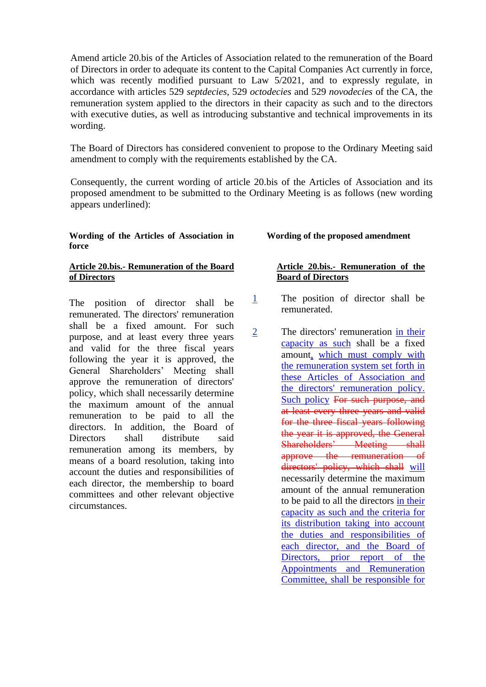Amend article 20.bis of the Articles of Association related to the remuneration of the Board of Directors in order to adequate its content to the Capital Companies Act currently in force, which was recently modified pursuant to Law  $5/2021$ , and to expressly regulate, in accordance with articles 529 *septdecies*, 529 *octodecies* and 529 *novodecies* of the CA, the remuneration system applied to the directors in their capacity as such and to the directors with executive duties, as well as introducing substantive and technical improvements in its wording.

The Board of Directors has considered convenient to propose to the Ordinary Meeting said amendment to comply with the requirements established by the CA.

Consequently, the current wording of article 20.bis of the Articles of Association and its proposed amendment to be submitted to the Ordinary Meeting is as follows (new wording appears underlined):

#### **Wording of the Articles of Association in force**

#### **Article 20.bis.- Remuneration of the Board of Directors**

The position of director shall be remunerated. The directors' remuneration shall be a fixed amount. For such purpose, and at least every three years and valid for the three fiscal years following the year it is approved, the General Shareholders' Meeting shall approve the remuneration of directors' policy, which shall necessarily determine the maximum amount of the annual remuneration to be paid to all the directors. In addition, the Board of Directors shall distribute said remuneration among its members, by means of a board resolution, taking into account the duties and responsibilities of each director, the membership to board committees and other relevant objective circumstances.

### **Wording of the proposed amendment**

#### **Article 20.bis.- Remuneration of the Board of Directors**

- 1 The position of director shall be remunerated.
- $\frac{2}{2}$  The directors' remuneration in their capacity as such shall be a fixed amount, which must comply with the remuneration system set forth in these Articles of Association and the directors' remuneration policy. Such policy For such purpose, and at least every three years and valid for the three fiscal years following the year it is approved, the General Shareholders' Meeting shall approve the remuneration of directors' policy, which shall will necessarily determine the maximum amount of the annual remuneration to be paid to all the directors in their capacity as such and the criteria for its distribution taking into account the duties and responsibilities of each director, and the Board of Directors, prior report of the Appointments and Remuneration Committee, shall be responsible for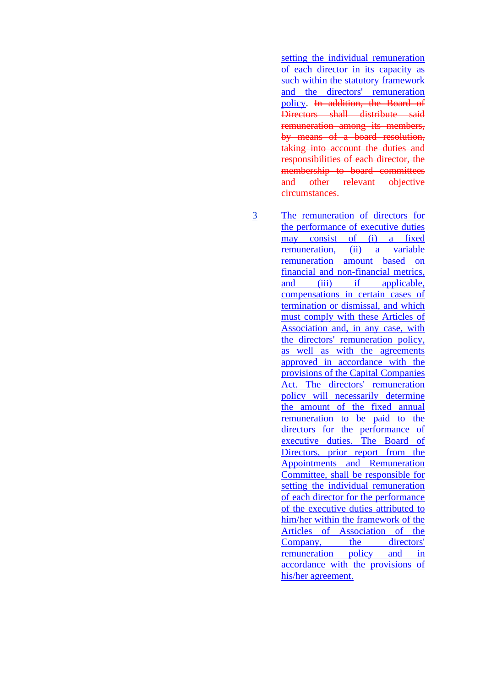setting the individual remuneration of each director in its capacity as such within the statutory framework and the directors' remuneration policy. In addition, the Board of Directors shall distribute said remuneration among its members, by means of a board resolution, taking into account the duties and responsibilities of each director, the membership to board committees and other relevant objective circumstances.

3 The remuneration of directors for the performance of executive duties may consist of (i) a fixed remuneration, (ii) a variable remuneration amount based on financial and non-financial metrics, and (iii) if applicable, compensations in certain cases of termination or dismissal, and which must comply with these Articles of Association and, in any case, with the directors' remuneration policy, as well as with the agreements approved in accordance with the provisions of the Capital Companies Act. The directors' remuneration policy will necessarily determine the amount of the fixed annual remuneration to be paid to the directors for the performance of executive duties. The Board of Directors, prior report from the Appointments and Remuneration Committee, shall be responsible for setting the individual remuneration of each director for the performance of the executive duties attributed to him/her within the framework of the Articles of Association of the Company, the directors' remuneration policy and in accordance with the provisions of his/her agreement.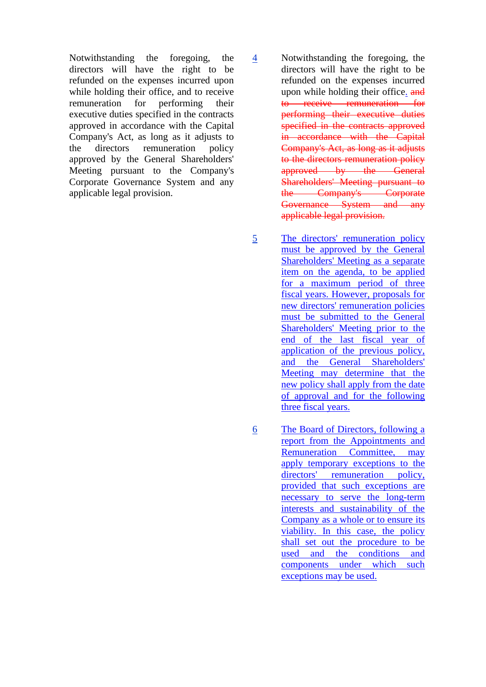Notwithstanding the foregoing, the directors will have the right to be refunded on the expenses incurred upon while holding their office, and to receive remuneration for performing their executive duties specified in the contracts approved in accordance with the Capital Company's Act, as long as it adjusts to the directors remuneration policy approved by the General Shareholders' Meeting pursuant to the Company's Corporate Governance System and any applicable legal provision.

4 Notwithstanding the foregoing, the directors will have the right to be refunded on the expenses incurred upon while holding their office. and to receive remuneration for performing their executive duties specified in the contracts approved in accordance with the Capital Company's Act, as long as it adjusts to the directors remuneration policy approved by the General Shareholders' Meeting pursuant to the Company's Corporate Governance System and any applicable legal provision.

5 The directors' remuneration policy must be approved by the General Shareholders' Meeting as a separate item on the agenda, to be applied for a maximum period of three fiscal years. However, proposals for new directors' remuneration policies must be submitted to the General Shareholders' Meeting prior to the end of the last fiscal year of application of the previous policy, and the General Shareholders' Meeting may determine that the new policy shall apply from the date of approval and for the following three fiscal years.

6 The Board of Directors, following a report from the Appointments and Remuneration Committee, may apply temporary exceptions to the directors' remuneration policy, provided that such exceptions are necessary to serve the long-term interests and sustainability of the Company as a whole or to ensure its viability. In this case, the policy shall set out the procedure to be used and the conditions and components under which such exceptions may be used.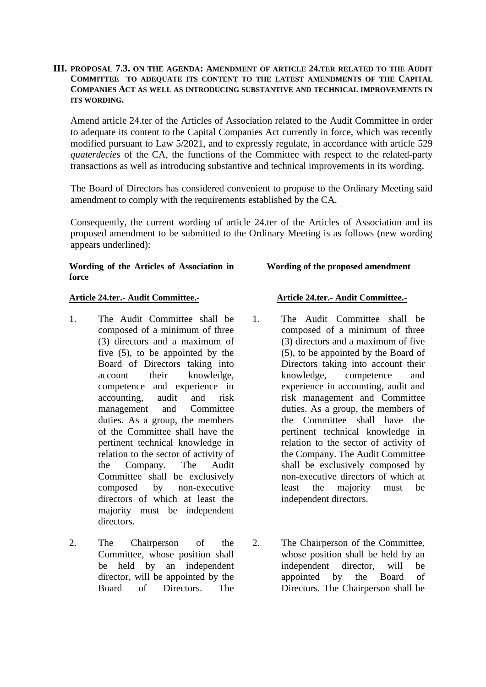#### **III. PROPOSAL 7.3. ON THE AGENDA: AMENDMENT OF ARTICLE 24.TER RELATED TO THE AUDIT COMMITTEE TO ADEQUATE ITS CONTENT TO THE LATEST AMENDMENTS OF THE CAPITAL COMPANIES ACT AS WELL AS INTRODUCING SUBSTANTIVE AND TECHNICAL IMPROVEMENTS IN ITS WORDING.**

Amend article 24.ter of the Articles of Association related to the Audit Committee in order to adequate its content to the Capital Companies Act currently in force, which was recently modified pursuant to Law 5/2021, and to expressly regulate, in accordance with article 529 *quaterdecies* of the CA, the functions of the Committee with respect to the related-party transactions as well as introducing substantive and technical improvements in its wording.

The Board of Directors has considered convenient to propose to the Ordinary Meeting said amendment to comply with the requirements established by the CA.

Consequently, the current wording of article 24.ter of the Articles of Association and its proposed amendment to be submitted to the Ordinary Meeting is as follows (new wording appears underlined):

#### **Wording of the Articles of Association in force**

- 1. The Audit Committee shall be composed of a minimum of three (3) directors and a maximum of five (5), to be appointed by the Board of Directors taking into account their knowledge, competence and experience in accounting, audit and risk management and Committee duties. As a group, the members of the Committee shall have the pertinent technical knowledge in relation to the sector of activity of the Company. The Audit Committee shall be exclusively composed by non-executive directors of which at least the majority must be independent directors.
- 2. The Chairperson of the Committee, whose position shall be held by an independent director, will be appointed by the Board of Directors. The

# **Wording of the proposed amendment**

### **Article 24.ter.- Audit Committee.- Article 24.ter.- Audit Committee.-**

- 1. The Audit Committee shall be composed of a minimum of three (3) directors and a maximum of five (5), to be appointed by the Board of Directors taking into account their knowledge, competence and experience in accounting, audit and risk management and Committee duties. As a group, the members of the Committee shall have the pertinent technical knowledge in relation to the sector of activity of the Company. The Audit Committee shall be exclusively composed by non-executive directors of which at least the majority must be independent directors.
- 2. The Chairperson of the Committee, whose position shall be held by an independent director, will be appointed by the Board of Directors. The Chairperson shall be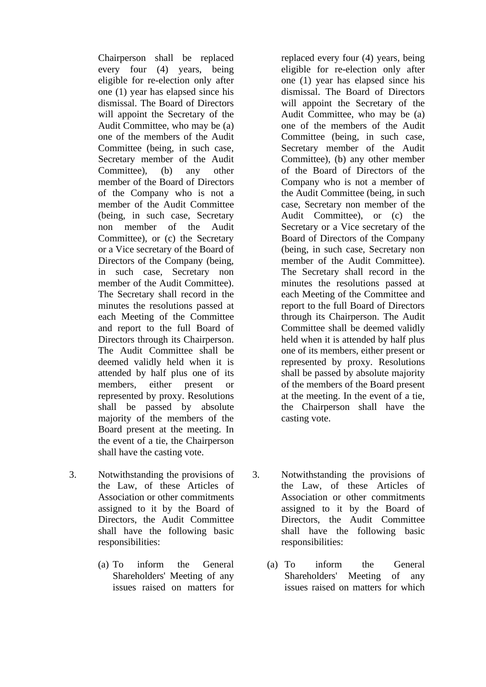Chairperson shall be replaced every four (4) years, being eligible for re-election only after one (1) year has elapsed since his dismissal. The Board of Directors will appoint the Secretary of the Audit Committee, who may be (a) one of the members of the Audit Committee (being, in such case, Secretary member of the Audit Committee), (b) any other member of the Board of Directors of the Company who is not a member of the Audit Committee (being, in such case, Secretary non member of the Audit Committee), or (c) the Secretary or a Vice secretary of the Board of Directors of the Company (being, in such case, Secretary non member of the Audit Committee). The Secretary shall record in the minutes the resolutions passed at each Meeting of the Committee and report to the full Board of Directors through its Chairperson. The Audit Committee shall be deemed validly held when it is attended by half plus one of its members, either present or represented by proxy. Resolutions shall be passed by absolute majority of the members of the Board present at the meeting. In the event of a tie, the Chairperson shall have the casting vote.

- 3. Notwithstanding the provisions of the Law, of these Articles of Association or other commitments assigned to it by the Board of Directors, the Audit Committee shall have the following basic responsibilities:
	- (a) To inform the General Shareholders' Meeting of any issues raised on matters for

replaced every four (4) years, being eligible for re-election only after one (1) year has elapsed since his dismissal. The Board of Directors will appoint the Secretary of the Audit Committee, who may be (a) one of the members of the Audit Committee (being, in such case, Secretary member of the Audit Committee), (b) any other member of the Board of Directors of the Company who is not a member of the Audit Committee (being, in such case, Secretary non member of the Audit Committee), or (c) the Secretary or a Vice secretary of the Board of Directors of the Company (being, in such case, Secretary non member of the Audit Committee). The Secretary shall record in the minutes the resolutions passed at each Meeting of the Committee and report to the full Board of Directors through its Chairperson. The Audit Committee shall be deemed validly held when it is attended by half plus one of its members, either present or represented by proxy. Resolutions shall be passed by absolute majority of the members of the Board present at the meeting. In the event of a tie, the Chairperson shall have the casting vote.

- 3. Notwithstanding the provisions of the Law, of these Articles of Association or other commitments assigned to it by the Board of Directors, the Audit Committee shall have the following basic responsibilities:
	- (a) To inform the General Shareholders' Meeting of any issues raised on matters for which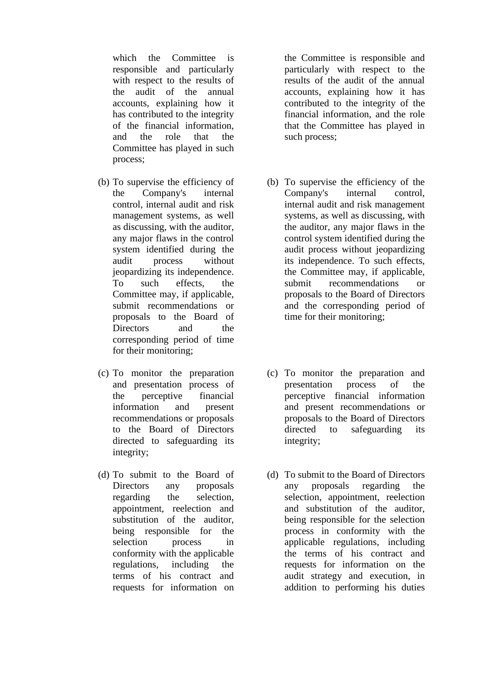which the Committee is responsible and particularly with respect to the results of the audit of the annual accounts, explaining how it has contributed to the integrity of the financial information, and the role that the Committee has played in such process;

- (b) To supervise the efficiency of the Company's internal control, internal audit and risk management systems, as well as discussing, with the auditor, any major flaws in the control system identified during the audit process without jeopardizing its independence. To such effects, the Committee may, if applicable, submit recommendations or proposals to the Board of Directors and the corresponding period of time for their monitoring;
- (c) To monitor the preparation and presentation process of the perceptive financial information and present recommendations or proposals to the Board of Directors directed to safeguarding its integrity;
- (d) To submit to the Board of Directors any proposals regarding the selection, appointment, reelection and substitution of the auditor, being responsible for the selection process in conformity with the applicable regulations, including the terms of his contract and requests for information on

the Committee is responsible and particularly with respect to the results of the audit of the annual accounts, explaining how it has contributed to the integrity of the financial information, and the role that the Committee has played in such process;

- (b) To supervise the efficiency of the Company's internal control, internal audit and risk management systems, as well as discussing, with the auditor, any major flaws in the control system identified during the audit process without jeopardizing its independence. To such effects, the Committee may, if applicable, submit recommendations or proposals to the Board of Directors and the corresponding period of time for their monitoring;
- (c) To monitor the preparation and presentation process of the perceptive financial information and present recommendations or proposals to the Board of Directors directed to safeguarding its integrity;
- (d) To submit to the Board of Directors any proposals regarding the selection, appointment, reelection and substitution of the auditor, being responsible for the selection process in conformity with the applicable regulations, including the terms of his contract and requests for information on the audit strategy and execution, in addition to performing his duties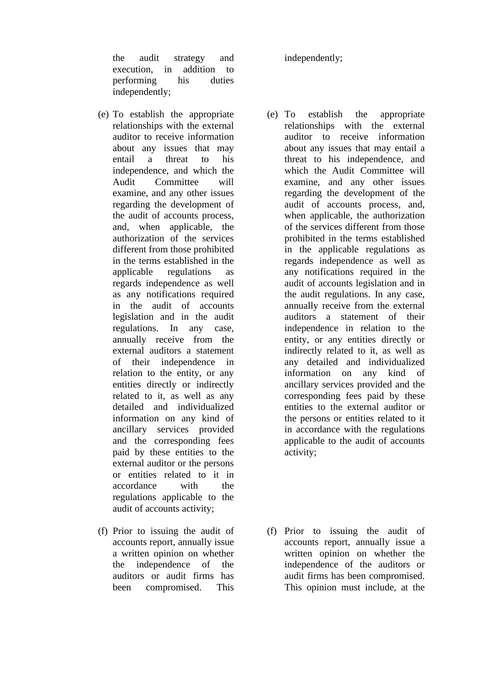the audit strategy and execution, in addition to performing his duties independently;

- (e) To establish the appropriate relationships with the external auditor to receive information about any issues that may entail a threat to his independence, and which the Audit Committee will examine, and any other issues regarding the development of the audit of accounts process, and, when applicable, the authorization of the services different from those prohibited in the terms established in the applicable regulations as regards independence as well as any notifications required in the audit of accounts legislation and in the audit regulations. In any case, annually receive from the external auditors a statement of their independence in relation to the entity, or any entities directly or indirectly related to it, as well as any detailed and individualized information on any kind of ancillary services provided and the corresponding fees paid by these entities to the external auditor or the persons or entities related to it in accordance with the regulations applicable to the audit of accounts activity;
- (f) Prior to issuing the audit of accounts report, annually issue a written opinion on whether the independence of the auditors or audit firms has been compromised. This

independently;

- (e) To establish the appropriate relationships with the external auditor to receive information about any issues that may entail a threat to his independence, and which the Audit Committee will examine, and any other issues regarding the development of the audit of accounts process, and, when applicable, the authorization of the services different from those prohibited in the terms established in the applicable regulations as regards independence as well as any notifications required in the audit of accounts legislation and in the audit regulations. In any case, annually receive from the external auditors a statement of their independence in relation to the entity, or any entities directly or indirectly related to it, as well as any detailed and individualized information on any kind of ancillary services provided and the corresponding fees paid by these entities to the external auditor or the persons or entities related to it in accordance with the regulations applicable to the audit of accounts activity;
- (f) Prior to issuing the audit of accounts report, annually issue a written opinion on whether the independence of the auditors or audit firms has been compromised. This opinion must include, at the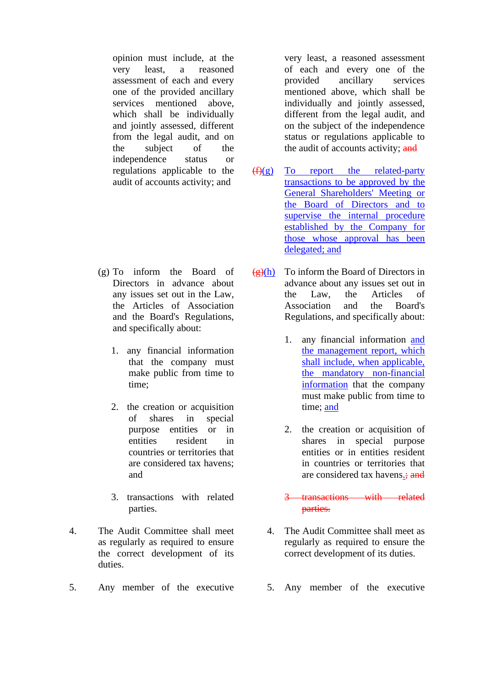opinion must include, at the very least, a reasoned assessment of each and every one of the provided ancillary services mentioned above, which shall be individually and jointly assessed, different from the legal audit, and on the subject of the independence status or regulations applicable to the audit of accounts activity; and

- (g) To inform the Board of Directors in advance about any issues set out in the Law, the Articles of Association and the Board's Regulations, and specifically about:
	- 1. any financial information that the company must make public from time to time;
	- 2. the creation or acquisition of shares in special purpose entities or in entities resident in countries or territories that are considered tax havens; and
	- 3. transactions with related parties.
- 4. The Audit Committee shall meet as regularly as required to ensure the correct development of its duties.
- 5. Any member of the executive 5. Any member of the executive

very least, a reasoned assessment of each and every one of the provided ancillary services mentioned above, which shall be individually and jointly assessed, different from the legal audit, and on the subject of the independence status or regulations applicable to the audit of accounts activity; and

- $(f)(g)$  To report the related-party transactions to be approved by the General Shareholders' Meeting or the Board of Directors and to supervise the internal procedure established by the Company for those whose approval has been delegated; and
- $(g)(h)$  To inform the Board of Directors in advance about any issues set out in the Law, the Articles of Association and the Board's Regulations, and specifically about:
	- 1. any financial information and the management report, which shall include, when applicable, the mandatory non-financial information that the company must make public from time to time; and
	- 2. the creation or acquisition of shares in special purpose entities or in entities resident in countries or territories that are considered tax havens<sub>-5</sub> and
	- 3 transactions with related parties.
	- 4. The Audit Committee shall meet as regularly as required to ensure the correct development of its duties.
	-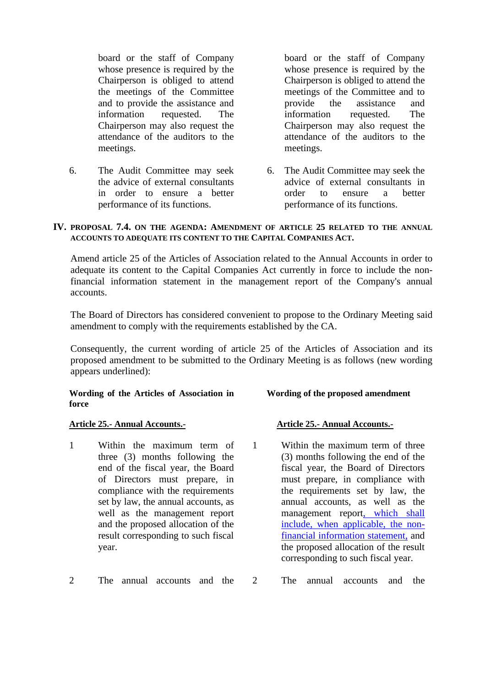board or the staff of Company whose presence is required by the Chairperson is obliged to attend the meetings of the Committee and to provide the assistance and information requested. The Chairperson may also request the attendance of the auditors to the meetings.

6. The Audit Committee may seek the advice of external consultants in order to ensure a better performance of its functions.

board or the staff of Company whose presence is required by the Chairperson is obliged to attend the meetings of the Committee and to provide the assistance and information requested. The Chairperson may also request the attendance of the auditors to the meetings.

6. The Audit Committee may seek the advice of external consultants in order to ensure a better performance of its functions.

#### **IV. PROPOSAL 7.4. ON THE AGENDA: AMENDMENT OF ARTICLE 25 RELATED TO THE ANNUAL ACCOUNTS TO ADEQUATE ITS CONTENT TO THE CAPITAL COMPANIES ACT.**

Amend article 25 of the Articles of Association related to the Annual Accounts in order to adequate its content to the Capital Companies Act currently in force to include the nonfinancial information statement in the management report of the Company's annual accounts.

The Board of Directors has considered convenient to propose to the Ordinary Meeting said amendment to comply with the requirements established by the CA.

Consequently, the current wording of article 25 of the Articles of Association and its proposed amendment to be submitted to the Ordinary Meeting is as follows (new wording appears underlined):

#### **Wording of the Articles of Association in force**

1 Within the maximum term of three (3) months following the end of the fiscal year, the Board of Directors must prepare, in compliance with the requirements set by law, the annual accounts, as well as the management report and the proposed allocation of the result corresponding to such fiscal year.

**Wording of the proposed amendment**

### **Article 25.- Annual Accounts.- Article 25.- Annual Accounts.-**

- 1 Within the maximum term of three (3) months following the end of the fiscal year, the Board of Directors must prepare, in compliance with the requirements set by law, the annual accounts, as well as the management report, which shall include, when applicable, the nonfinancial information statement, and the proposed allocation of the result corresponding to such fiscal year.
- 2 The annual accounts and the 2 The annual accounts and the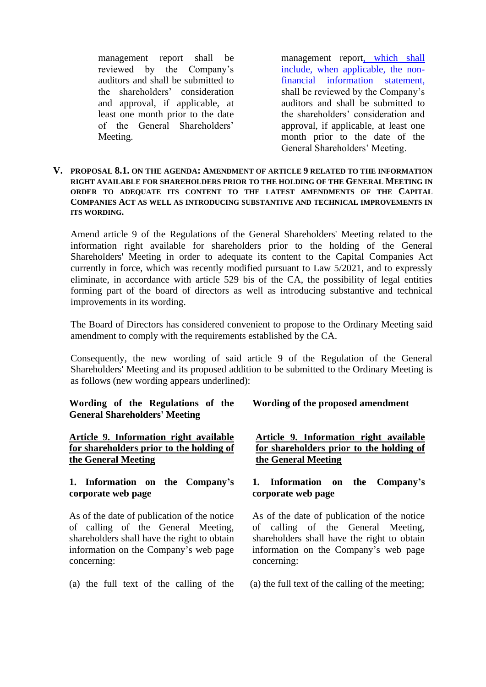management report shall be reviewed by the Company's auditors and shall be submitted to the shareholders' consideration and approval, if applicable, at least one month prior to the date of the General Shareholders' Meeting.

management report, which shall include, when applicable, the nonfinancial information statement, shall be reviewed by the Company's auditors and shall be submitted to the shareholders' consideration and approval, if applicable, at least one month prior to the date of the General Shareholders' Meeting.

#### **V. PROPOSAL 8.1. ON THE AGENDA: AMENDMENT OF ARTICLE 9 RELATED TO THE INFORMATION RIGHT AVAILABLE FOR SHAREHOLDERS PRIOR TO THE HOLDING OF THE GENERAL MEETING IN ORDER TO ADEQUATE ITS CONTENT TO THE LATEST AMENDMENTS OF THE CAPITAL COMPANIES ACT AS WELL AS INTRODUCING SUBSTANTIVE AND TECHNICAL IMPROVEMENTS IN ITS WORDING.**

Amend article 9 of the Regulations of the General Shareholders' Meeting related to the information right available for shareholders prior to the holding of the General Shareholders' Meeting in order to adequate its content to the Capital Companies Act currently in force, which was recently modified pursuant to Law 5/2021, and to expressly eliminate, in accordance with article 529 bis of the CA, the possibility of legal entities forming part of the board of directors as well as introducing substantive and technical improvements in its wording.

The Board of Directors has considered convenient to propose to the Ordinary Meeting said amendment to comply with the requirements established by the CA.

Consequently, the new wording of said article 9 of the Regulation of the General Shareholders' Meeting and its proposed addition to be submitted to the Ordinary Meeting is as follows (new wording appears underlined):

### **Wording of the Regulations of the General Shareholders' Meeting**

# **Article 9. Information right available for shareholders prior to the holding of the General Meeting**

# **1. Information on the Company's corporate web page**

As of the date of publication of the notice of calling of the General Meeting, shareholders shall have the right to obtain information on the Company's web page concerning:

(a) the full text of the calling of the

# **Wording of the proposed amendment**

# **Article 9. Information right available for shareholders prior to the holding of the General Meeting**

### **1. Information on the Company's corporate web page**

As of the date of publication of the notice of calling of the General Meeting, shareholders shall have the right to obtain information on the Company's web page concerning:

(a) the full text of the calling of the meeting;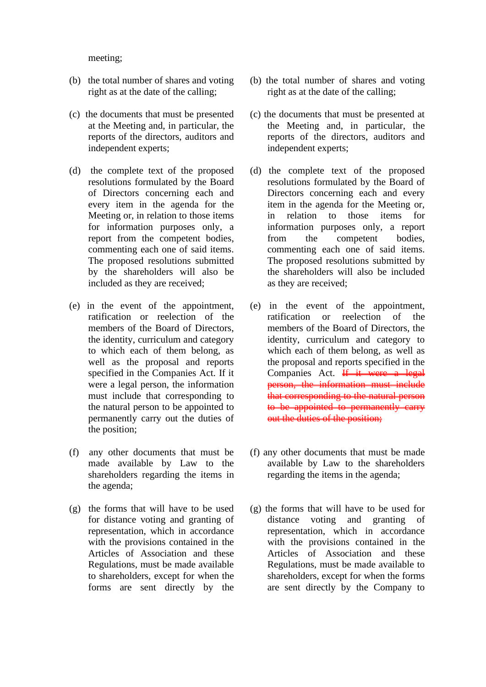meeting;

- (b) the total number of shares and voting right as at the date of the calling;
- (c) the documents that must be presented at the Meeting and, in particular, the reports of the directors, auditors and independent experts;
- (d) the complete text of the proposed resolutions formulated by the Board of Directors concerning each and every item in the agenda for the Meeting or, in relation to those items for information purposes only, a report from the competent bodies, commenting each one of said items. The proposed resolutions submitted by the shareholders will also be included as they are received;
- (e) in the event of the appointment, ratification or reelection of the members of the Board of Directors, the identity, curriculum and category to which each of them belong, as well as the proposal and reports specified in the Companies Act. If it were a legal person, the information must include that corresponding to the natural person to be appointed to permanently carry out the duties of the position;
- (f) any other documents that must be made available by Law to the shareholders regarding the items in the agenda;
- (g) the forms that will have to be used for distance voting and granting of representation, which in accordance with the provisions contained in the Articles of Association and these Regulations, must be made available to shareholders, except for when the forms are sent directly by the
- (b) the total number of shares and voting right as at the date of the calling;
- (c) the documents that must be presented at the Meeting and, in particular, the reports of the directors, auditors and independent experts;
- (d) the complete text of the proposed resolutions formulated by the Board of Directors concerning each and every item in the agenda for the Meeting or, in relation to those items for information purposes only, a report from the competent bodies, commenting each one of said items. The proposed resolutions submitted by the shareholders will also be included as they are received;
- (e) in the event of the appointment, ratification or reelection of the members of the Board of Directors, the identity, curriculum and category to which each of them belong, as well as the proposal and reports specified in the Companies Act.  $\overline{If}$  it were a legal person, the information must include that corresponding to the natural person to be appointed to permanently carry out the duties of the position;
- (f) any other documents that must be made available by Law to the shareholders regarding the items in the agenda;
- (g) the forms that will have to be used for distance voting and granting of representation, which in accordance with the provisions contained in the Articles of Association and these Regulations, must be made available to shareholders, except for when the forms are sent directly by the Company to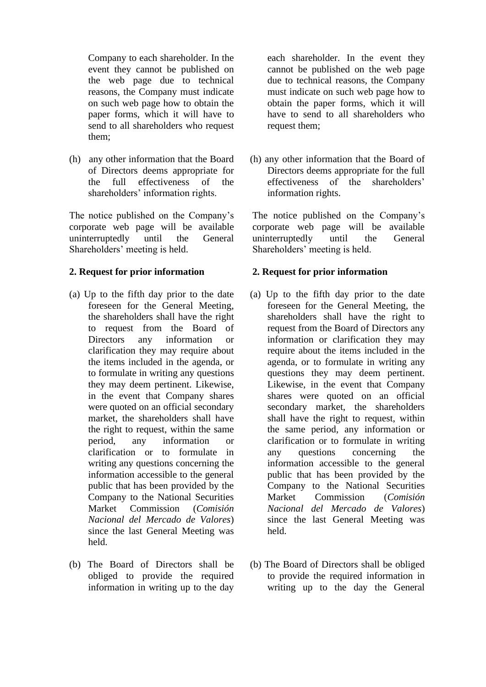Company to each shareholder. In the event they cannot be published on the web page due to technical reasons, the Company must indicate on such web page how to obtain the paper forms, which it will have to send to all shareholders who request them;

(h) any other information that the Board of Directors deems appropriate for the full effectiveness of the shareholders' information rights.

The notice published on the Company's corporate web page will be available uninterruptedly until the General Shareholders' meeting is held.

# **2. Request for prior information**

- (a) Up to the fifth day prior to the date foreseen for the General Meeting, the shareholders shall have the right to request from the Board of Directors any information or clarification they may require about the items included in the agenda, or to formulate in writing any questions they may deem pertinent. Likewise, in the event that Company shares were quoted on an official secondary market, the shareholders shall have the right to request, within the same period, any information or clarification or to formulate in writing any questions concerning the information accessible to the general public that has been provided by the Company to the National Securities Market Commission (*Comisión Nacional del Mercado de Valores*) since the last General Meeting was held.
- (b) The Board of Directors shall be obliged to provide the required information in writing up to the day

each shareholder. In the event they cannot be published on the web page due to technical reasons, the Company must indicate on such web page how to obtain the paper forms, which it will have to send to all shareholders who request them;

(h) any other information that the Board of Directors deems appropriate for the full effectiveness of the shareholders' information rights.

The notice published on the Company's corporate web page will be available uninterruptedly until the General Shareholders' meeting is held.

# **2. Request for prior information**

- (a) Up to the fifth day prior to the date foreseen for the General Meeting, the shareholders shall have the right to request from the Board of Directors any information or clarification they may require about the items included in the agenda, or to formulate in writing any questions they may deem pertinent. Likewise, in the event that Company shares were quoted on an official secondary market, the shareholders shall have the right to request, within the same period, any information or clarification or to formulate in writing any questions concerning the information accessible to the general public that has been provided by the Company to the National Securities Market Commission (*Comisión Nacional del Mercado de Valores*) since the last General Meeting was held.
- (b) The Board of Directors shall be obliged to provide the required information in writing up to the day the General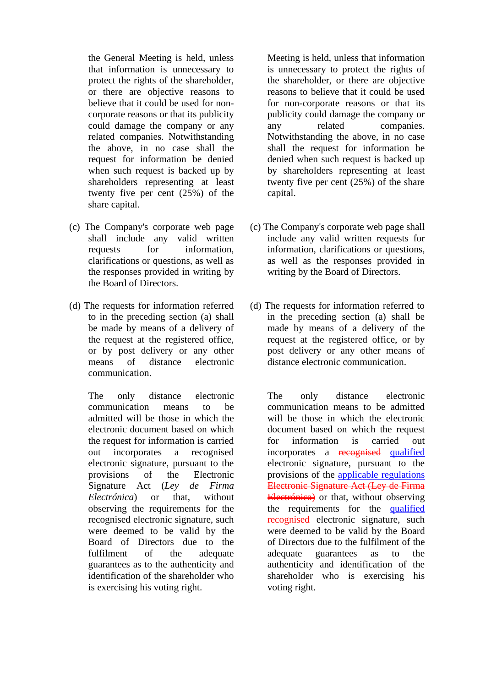the General Meeting is held, unless that information is unnecessary to protect the rights of the shareholder, or there are objective reasons to believe that it could be used for noncorporate reasons or that its publicity could damage the company or any related companies. Notwithstanding the above, in no case shall the request for information be denied when such request is backed up by shareholders representing at least twenty five per cent (25%) of the share capital.

- (c) The Company's corporate web page shall include any valid written requests for information. clarifications or questions, as well as the responses provided in writing by the Board of Directors.
- (d) The requests for information referred to in the preceding section (a) shall be made by means of a delivery of the request at the registered office, or by post delivery or any other means of distance electronic communication.

The only distance electronic communication means to be admitted will be those in which the electronic document based on which the request for information is carried out incorporates a recognised electronic signature, pursuant to the provisions of the Electronic Signature Act (*Ley de Firma Electrónica*) or that, without observing the requirements for the recognised electronic signature, such were deemed to be valid by the Board of Directors due to the fulfilment of the adequate guarantees as to the authenticity and identification of the shareholder who is exercising his voting right.

Meeting is held, unless that information is unnecessary to protect the rights of the shareholder, or there are objective reasons to believe that it could be used for non-corporate reasons or that its publicity could damage the company or any related companies. Notwithstanding the above, in no case shall the request for information be denied when such request is backed up by shareholders representing at least twenty five per cent (25%) of the share capital.

- (c) The Company's corporate web page shall include any valid written requests for information, clarifications or questions, as well as the responses provided in writing by the Board of Directors.
- (d) The requests for information referred to in the preceding section (a) shall be made by means of a delivery of the request at the registered office, or by post delivery or any other means of distance electronic communication.

The only distance electronic communication means to be admitted will be those in which the electronic document based on which the request for information is carried out incorporates a recognised qualified electronic signature, pursuant to the provisions of the applicable regulations Electronic Signature Act (Ley de Firma Electrónica) or that, without observing the requirements for the qualified recognised electronic signature, such were deemed to be valid by the Board of Directors due to the fulfilment of the adequate guarantees as to the authenticity and identification of the shareholder who is exercising his voting right.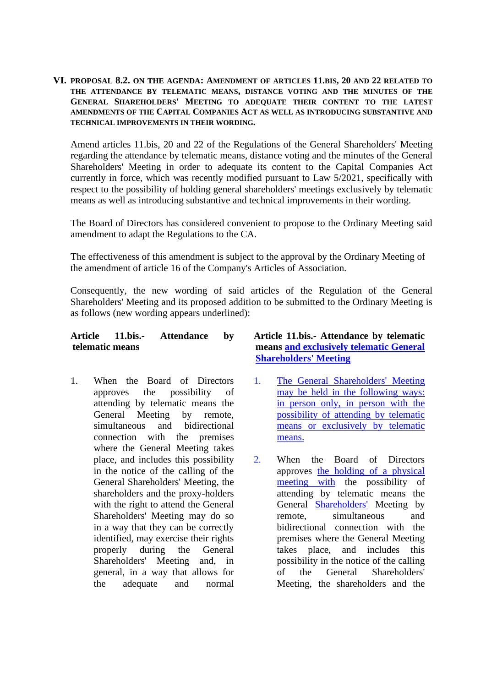**VI. PROPOSAL 8.2. ON THE AGENDA: AMENDMENT OF ARTICLES 11.BIS, 20 AND 22 RELATED TO THE ATTENDANCE BY TELEMATIC MEANS, DISTANCE VOTING AND THE MINUTES OF THE GENERAL SHAREHOLDERS' MEETING TO ADEQUATE THEIR CONTENT TO THE LATEST AMENDMENTS OF THE CAPITAL COMPANIES ACT AS WELL AS INTRODUCING SUBSTANTIVE AND TECHNICAL IMPROVEMENTS IN THEIR WORDING.**

Amend articles 11.bis, 20 and 22 of the Regulations of the General Shareholders' Meeting regarding the attendance by telematic means, distance voting and the minutes of the General Shareholders' Meeting in order to adequate its content to the Capital Companies Act currently in force, which was recently modified pursuant to Law 5/2021, specifically with respect to the possibility of holding general shareholders' meetings exclusively by telematic means as well as introducing substantive and technical improvements in their wording.

The Board of Directors has considered convenient to propose to the Ordinary Meeting said amendment to adapt the Regulations to the CA.

The effectiveness of this amendment is subject to the approval by the Ordinary Meeting of the amendment of article 16 of the Company's Articles of Association.

Consequently, the new wording of said articles of the Regulation of the General Shareholders' Meeting and its proposed addition to be submitted to the Ordinary Meeting is as follows (new wording appears underlined):

# **Article 11.bis.- Attendance by telematic means**

1. When the Board of Directors approves the possibility of attending by telematic means the General Meeting by remote, simultaneous and bidirectional connection with the premises where the General Meeting takes place, and includes this possibility in the notice of the calling of the General Shareholders' Meeting, the shareholders and the proxy-holders with the right to attend the General Shareholders' Meeting may do so in a way that they can be correctly identified, may exercise their rights properly during the General Shareholders' Meeting and, in general, in a way that allows for the adequate and normal

# **Article 11.bis.- Attendance by telematic means and exclusively telematic General Shareholders' Meeting**

- 1. The General Shareholders' Meeting may be held in the following ways: in person only, in person with the possibility of attending by telematic means or exclusively by telematic means.
- 2. When the Board of Directors approves the holding of a physical meeting with the possibility of attending by telematic means the General Shareholders' Meeting by remote, simultaneous and bidirectional connection with the premises where the General Meeting takes place, and includes this possibility in the notice of the calling of the General Shareholders' Meeting, the shareholders and the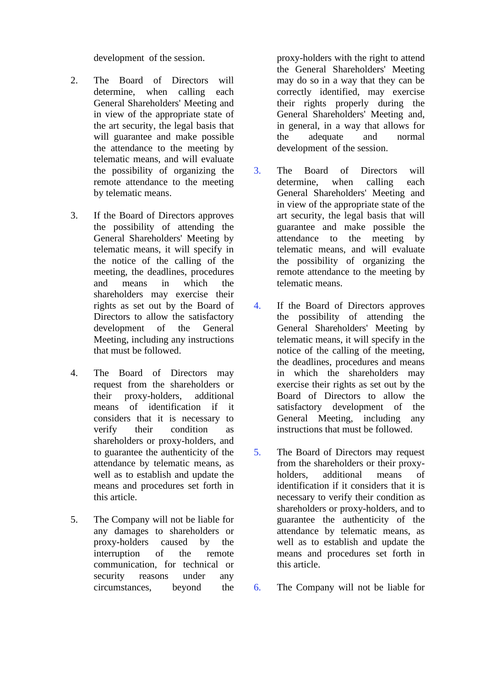development of the session.

- 2. The Board of Directors will determine, when calling each General Shareholders' Meeting and in view of the appropriate state of the art security, the legal basis that will guarantee and make possible the attendance to the meeting by telematic means, and will evaluate the possibility of organizing the remote attendance to the meeting by telematic means.
- 3. If the Board of Directors approves the possibility of attending the General Shareholders' Meeting by telematic means, it will specify in the notice of the calling of the meeting, the deadlines, procedures and means in which the shareholders may exercise their rights as set out by the Board of Directors to allow the satisfactory development of the General Meeting, including any instructions that must be followed.
- 4. The Board of Directors may request from the shareholders or their proxy-holders, additional means of identification if it considers that it is necessary to verify their condition as shareholders or proxy-holders, and to guarantee the authenticity of the attendance by telematic means, as well as to establish and update the means and procedures set forth in this article.
- 5. The Company will not be liable for any damages to shareholders or proxy-holders caused by the interruption of the remote communication, for technical or security reasons under any circumstances, beyond the

proxy-holders with the right to attend the General Shareholders' Meeting may do so in a way that they can be correctly identified, may exercise their rights properly during the General Shareholders' Meeting and, in general, in a way that allows for the adequate and normal development of the session.

- 3. The Board of Directors will determine, when calling each General Shareholders' Meeting and in view of the appropriate state of the art security, the legal basis that will guarantee and make possible the attendance to the meeting by telematic means, and will evaluate the possibility of organizing the remote attendance to the meeting by telematic means.
- 4. If the Board of Directors approves the possibility of attending the General Shareholders' Meeting by telematic means, it will specify in the notice of the calling of the meeting, the deadlines, procedures and means in which the shareholders may exercise their rights as set out by the Board of Directors to allow the satisfactory development of the General Meeting, including any instructions that must be followed.
- 5. The Board of Directors may request from the shareholders or their proxyholders, additional means of identification if it considers that it is necessary to verify their condition as shareholders or proxy-holders, and to guarantee the authenticity of the attendance by telematic means, as well as to establish and update the means and procedures set forth in this article.
- 6. The Company will not be liable for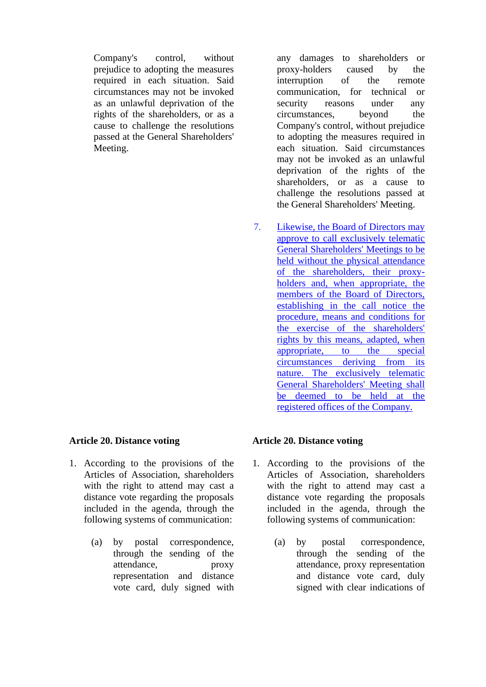Company's control, without prejudice to adopting the measures required in each situation. Said circumstances may not be invoked as an unlawful deprivation of the rights of the shareholders, or as a cause to challenge the resolutions passed at the General Shareholders' Meeting.

# **Article 20. Distance voting**

- 1. According to the provisions of the Articles of Association, shareholders with the right to attend may cast a distance vote regarding the proposals included in the agenda, through the following systems of communication:
	- (a) by postal correspondence, through the sending of the attendance, proxy representation and distance vote card, duly signed with

any damages to shareholders or proxy-holders caused by the interruption of the remote communication, for technical or security reasons under any circumstances, beyond the Company's control, without prejudice to adopting the measures required in each situation. Said circumstances may not be invoked as an unlawful deprivation of the rights of the shareholders, or as a cause to challenge the resolutions passed at the General Shareholders' Meeting.

7. Likewise, the Board of Directors may approve to call exclusively telematic General Shareholders' Meetings to be held without the physical attendance of the shareholders, their proxyholders and, when appropriate, the members of the Board of Directors, establishing in the call notice the procedure, means and conditions for the exercise of the shareholders' rights by this means, adapted, when appropriate, to the special circumstances deriving from its nature. The exclusively telematic General Shareholders' Meeting shall be deemed to be held at the registered offices of the Company.

### **Article 20. Distance voting**

- 1. According to the provisions of the Articles of Association, shareholders with the right to attend may cast a distance vote regarding the proposals included in the agenda, through the following systems of communication:
	- (a) by postal correspondence, through the sending of the attendance, proxy representation and distance vote card, duly signed with clear indications of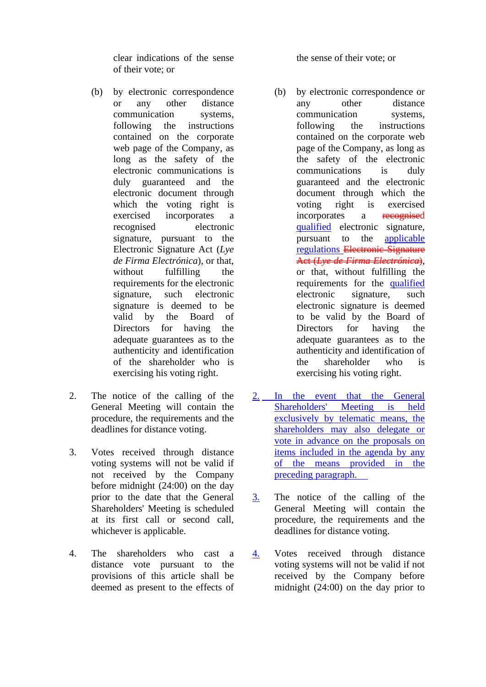clear indications of the sense of their vote; or

- (b) by electronic correspondence or any other distance communication systems, following the instructions contained on the corporate web page of the Company, as long as the safety of the electronic communications is duly guaranteed and the electronic document through which the voting right is exercised incorporates a recognised electronic signature, pursuant to the Electronic Signature Act (*Lye de Firma Electrónica*), or that, without fulfilling the requirements for the electronic signature, such electronic signature is deemed to be valid by the Board of Directors for having the adequate guarantees as to the authenticity and identification of the shareholder who is exercising his voting right.
- 2. The notice of the calling of the General Meeting will contain the procedure, the requirements and the deadlines for distance voting.
- 3. Votes received through distance voting systems will not be valid if not received by the Company before midnight (24:00) on the day prior to the date that the General Shareholders' Meeting is scheduled at its first call or second call, whichever is applicable.
- 4. The shareholders who cast a distance vote pursuant to the provisions of this article shall be deemed as present to the effects of

the sense of their vote; or

- (b) by electronic correspondence or any other distance communication systems, following the instructions contained on the corporate web page of the Company, as long as the safety of the electronic communications is duly guaranteed and the electronic document through which the voting right is exercised incorporates a recognised qualified electronic signature, pursuant to the applicable regulations Electronic Signature Act (*Lye de Firma Electrónica*), or that, without fulfilling the requirements for the qualified electronic signature, such electronic signature is deemed to be valid by the Board of Directors for having the adequate guarantees as to the authenticity and identification of the shareholder who is exercising his voting right.
- 2. In the event that the General Shareholders' Meeting is held exclusively by telematic means, the shareholders may also delegate or vote in advance on the proposals on items included in the agenda by any of the means provided in the preceding paragraph.
- 3. The notice of the calling of the General Meeting will contain the procedure, the requirements and the deadlines for distance voting.
- 4. Votes received through distance voting systems will not be valid if not received by the Company before midnight (24:00) on the day prior to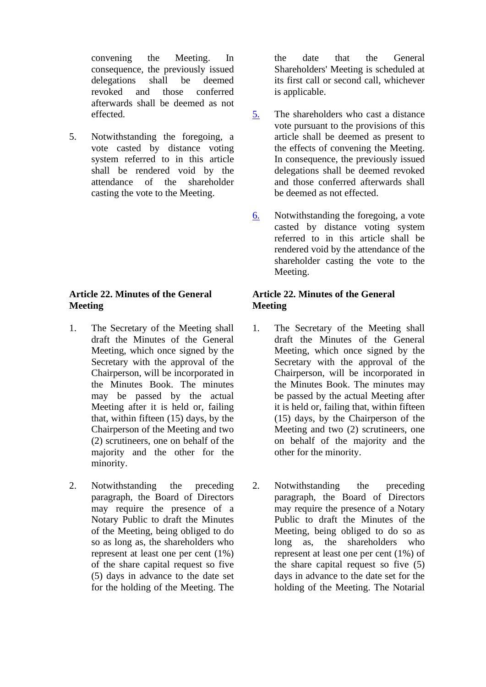convening the Meeting. In consequence, the previously issued delegations shall be deemed revoked and those conferred afterwards shall be deemed as not effected.

5. Notwithstanding the foregoing, a vote casted by distance voting system referred to in this article shall be rendered void by the attendance of the shareholder casting the vote to the Meeting.

# **Article 22. Minutes of the General Meeting**

- 1. The Secretary of the Meeting shall draft the Minutes of the General Meeting, which once signed by the Secretary with the approval of the Chairperson, will be incorporated in the Minutes Book. The minutes may be passed by the actual Meeting after it is held or, failing that, within fifteen (15) days, by the Chairperson of the Meeting and two (2) scrutineers, one on behalf of the majority and the other for the minority.
- 2. Notwithstanding the preceding paragraph, the Board of Directors may require the presence of a Notary Public to draft the Minutes of the Meeting, being obliged to do so as long as, the shareholders who represent at least one per cent (1%) of the share capital request so five (5) days in advance to the date set for the holding of the Meeting. The

the date that the General Shareholders' Meeting is scheduled at its first call or second call, whichever is applicable.

- 5. The shareholders who cast a distance vote pursuant to the provisions of this article shall be deemed as present to the effects of convening the Meeting. In consequence, the previously issued delegations shall be deemed revoked and those conferred afterwards shall be deemed as not effected.
- 6. Notwithstanding the foregoing, a vote casted by distance voting system referred to in this article shall be rendered void by the attendance of the shareholder casting the vote to the Meeting.

# **Article 22. Minutes of the General Meeting**

- 1. The Secretary of the Meeting shall draft the Minutes of the General Meeting, which once signed by the Secretary with the approval of the Chairperson, will be incorporated in the Minutes Book. The minutes may be passed by the actual Meeting after it is held or, failing that, within fifteen (15) days, by the Chairperson of the Meeting and two (2) scrutineers, one on behalf of the majority and the other for the minority.
- 2. Notwithstanding the preceding paragraph, the Board of Directors may require the presence of a Notary Public to draft the Minutes of the Meeting, being obliged to do so as long as, the shareholders who represent at least one per cent (1%) of the share capital request so five (5) days in advance to the date set for the holding of the Meeting. The Notarial